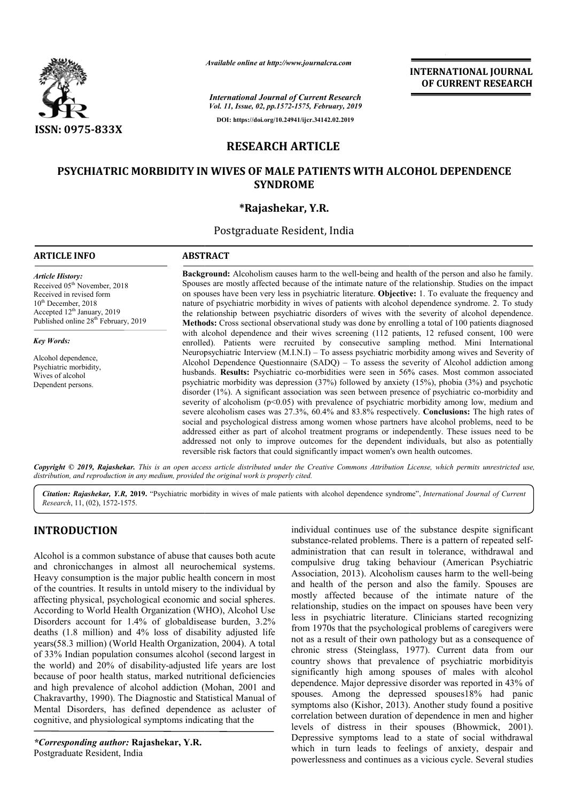

# **RESEARCH ARTICLE**

## PSYCHIATRIC MORBIDITY IN WIVES OF MALE PATIENTS WITH ALCOHOL DEPENDENCE **SYNDROME**

## **\*Rajashekar, Y.R.**

|                                                                                                                                                                                                                         | Available online at http://www.journalcra.com                                                                                                                                                                                                                                                                                                                                                                                                                                                                                                                                                                                                                                                                                                                                                                                                                                                                                                                                                                                                                                                                        | <b>INTERNATIONAL JOURNAL</b><br>OF CURRENT RESEARCH |
|-------------------------------------------------------------------------------------------------------------------------------------------------------------------------------------------------------------------------|----------------------------------------------------------------------------------------------------------------------------------------------------------------------------------------------------------------------------------------------------------------------------------------------------------------------------------------------------------------------------------------------------------------------------------------------------------------------------------------------------------------------------------------------------------------------------------------------------------------------------------------------------------------------------------------------------------------------------------------------------------------------------------------------------------------------------------------------------------------------------------------------------------------------------------------------------------------------------------------------------------------------------------------------------------------------------------------------------------------------|-----------------------------------------------------|
|                                                                                                                                                                                                                         | <b>International Journal of Current Research</b><br>Vol. 11, Issue, 02, pp.1572-1575, February, 2019                                                                                                                                                                                                                                                                                                                                                                                                                                                                                                                                                                                                                                                                                                                                                                                                                                                                                                                                                                                                                 |                                                     |
| <b>ISSN: 0975-833X</b>                                                                                                                                                                                                  | DOI: https://doi.org/10.24941/ijcr.34142.02.2019                                                                                                                                                                                                                                                                                                                                                                                                                                                                                                                                                                                                                                                                                                                                                                                                                                                                                                                                                                                                                                                                     |                                                     |
|                                                                                                                                                                                                                         | <b>RESEARCH ARTICLE</b>                                                                                                                                                                                                                                                                                                                                                                                                                                                                                                                                                                                                                                                                                                                                                                                                                                                                                                                                                                                                                                                                                              |                                                     |
|                                                                                                                                                                                                                         | <b>PSYCHIATRIC MORBIDITY IN WIVES OF MALE PATIENTS WITH ALCOHOL DEPENDENCE</b><br><b>SYNDROME</b>                                                                                                                                                                                                                                                                                                                                                                                                                                                                                                                                                                                                                                                                                                                                                                                                                                                                                                                                                                                                                    |                                                     |
|                                                                                                                                                                                                                         | *Rajashekar, Y.R.                                                                                                                                                                                                                                                                                                                                                                                                                                                                                                                                                                                                                                                                                                                                                                                                                                                                                                                                                                                                                                                                                                    |                                                     |
|                                                                                                                                                                                                                         | Postgraduate Resident, India                                                                                                                                                                                                                                                                                                                                                                                                                                                                                                                                                                                                                                                                                                                                                                                                                                                                                                                                                                                                                                                                                         |                                                     |
| <b>ARTICLE INFO</b>                                                                                                                                                                                                     | <b>ABSTRACT</b>                                                                                                                                                                                                                                                                                                                                                                                                                                                                                                                                                                                                                                                                                                                                                                                                                                                                                                                                                                                                                                                                                                      |                                                     |
| <b>Article History:</b><br>Received 05 <sup>th</sup> November, 2018<br>Received in revised form<br>$10th$ December, 2018<br>Accepted 12 <sup>th</sup> January, 2019<br>Published online 28 <sup>th</sup> February, 2019 | <b>Background:</b> Alcoholism causes harm to the well-being and health of the person and also he family.<br>Spouses are mostly affected because of the intimate nature of the relationship. Studies on the impact<br>on spouses have been very less in psychiatric literature. Objective: 1. To evaluate the frequency and<br>nature of psychiatric morbidity in wives of patients with alcohol dependence syndrome. 2. To study<br>the relationship between psychiatric disorders of wives with the severity of alcohol dependence.<br>Methods: Cross sectional observational study was done by enrolling a total of 100 patients diagnosed                                                                                                                                                                                                                                                                                                                                                                                                                                                                         |                                                     |
| <b>Key Words:</b>                                                                                                                                                                                                       | with alcohol dependence and their wives screening (112 patients, 12 refused consent, 100 were<br>enrolled). Patients were recruited by consecutive sampling method. Mini International                                                                                                                                                                                                                                                                                                                                                                                                                                                                                                                                                                                                                                                                                                                                                                                                                                                                                                                               |                                                     |
| Alcohol dependence,<br>Psychiatric morbidity,<br>Wives of alcohol<br>Dependent persons.                                                                                                                                 | Neuropsychiatric Interview $(M.I.N.I) - To$ assess psychiatric morbidity among wives and Severity of<br>Alcohol Dependence Questionnaire $(SADQ)$ – To assess the severity of Alcohol addiction among<br>husbands. Results: Psychiatric co-morbidities were seen in 56% cases. Most common associated<br>psychiatric morbidity was depression (37%) followed by anxiety (15%), phobia (3%) and psychotic<br>disorder (1%). A significant association was seen between presence of psychiatric co-morbidity and<br>severity of alcoholism $(p<0.05)$ with prevalence of psychiatric morbidity among low, medium and<br>severe alcoholism cases was 27.3%, 60.4% and 83.8% respectively. Conclusions: The high rates of<br>social and psychological distress among women whose partners have alcohol problems, need to be<br>addressed either as part of alcohol treatment programs or independently. These issues need to be<br>addressed not only to improve outcomes for the dependent individuals, but also as potentially<br>reversible risk factors that could significantly impact women's own health outcomes. |                                                     |
|                                                                                                                                                                                                                         | Copyright © 2019, Rajashekar. This is an open access article distributed under the Creative Commons Attribution License, which permits unrestricted use,<br>distribution, and reproduction in any medium, provided the original work is properly cited.                                                                                                                                                                                                                                                                                                                                                                                                                                                                                                                                                                                                                                                                                                                                                                                                                                                              |                                                     |
|                                                                                                                                                                                                                         | Citation: Rajashekar, Y.R. 2019. "Psychiatric morbidity in wives of male patients with alcohol dependence syndrome", International Journal of Current                                                                                                                                                                                                                                                                                                                                                                                                                                                                                                                                                                                                                                                                                                                                                                                                                                                                                                                                                                |                                                     |

# **INTRODUCTION**

*Research*, 11, (02), 1572-1575.

Alcohol is a common substance of abuse that causes both acute and chronicchanges in almost all neurochemical systems. Heavy consumption is the major public health concern in most of the countries. It results in untold misery to the individual by affecting physical, psychological economic and social spheres. According to World Health Organization (WHO), Alcohol Use Disorders account for 1.4% of globaldisease burden, 3.2% deaths (1.8 million) and 4% loss of disability adjusted life years(58.3 million) (World Health Organization, 2004). A total of 33% Indian population consumes alcohol (second largest in the world) and 20% of disability-adjusted life years are lost because of poor health status, marked nutritional deficiencies the world) and 20% of disability-adjusted life years are lost<br>because of poor health status, marked nutritional deficiencies<br>and high prevalence of alcohol addiction (Mohan, 2001 and Chakravarthy, 1990). The Diagnostic and Statistical Manual of Mental Disorders, has defined dependence as acluster of cognitive, and physiological symptoms indicating that the Sults in untold misery to the individual by<br>sychological economic and social spheres.<br>Health Organization (WHO), Alcohol Use<br>for 1.4% of globaldisease burden, 3.2%<br>and 4% loss of disability adjusted life<br>World Health Organ

*\*Corresponding author:* **Rajashekar, Y.R.** Postgraduate Resident, India

individual continues use of the substance despite significant individual continues use of the substance despite significant<br>substance-related problems. There is a pattern of repeated selfadministration that can result in tolerance, withdrawal and compulsive drug taking behaviour compulsive drug (American Psychiatric Association, 2013). Alcoholism causes harm to the well-being and health of the person and also the family. Spouses are mostly affected because of the intimate nature of the relationship, studies on the impact on spouses have been very less in psychiatric literature. Clinicians started recognizing relationship, studies on the impact on spouses have been very less in psychiatric literature. Clinicians from 1970s that the psychological problems of caregivers were not as a result of their own pathology but as a consequence of from 1970s that the psychological problems of caregivers were<br>not as a result of their own pathology but as a consequence of<br>chronic stress (Steinglass, 1977). Current data from our country shows that prevalence of psychiatric morbidityis significantly high among spouses of males with alcohol dependence. Major depressive disorder was reported in 43% of spouses. Among the depressed spouses18% had panic symptoms also (Kishor, 2013). Another study found a positive correlation between duration of dependence in men and higher levels of distress in their spouses (Bhowmick, 2001). Depressive symptoms lead to a state of social withdrawal which in turn leads to feelings of anxiety, despair and powerlessness and continues as a vicious cycle. Several studies country shows that prevalence of psychiatric morbidity<br>is significantly high among spouses of males with alcohol<br>dependence. Major depressive disorder was reported in 43% of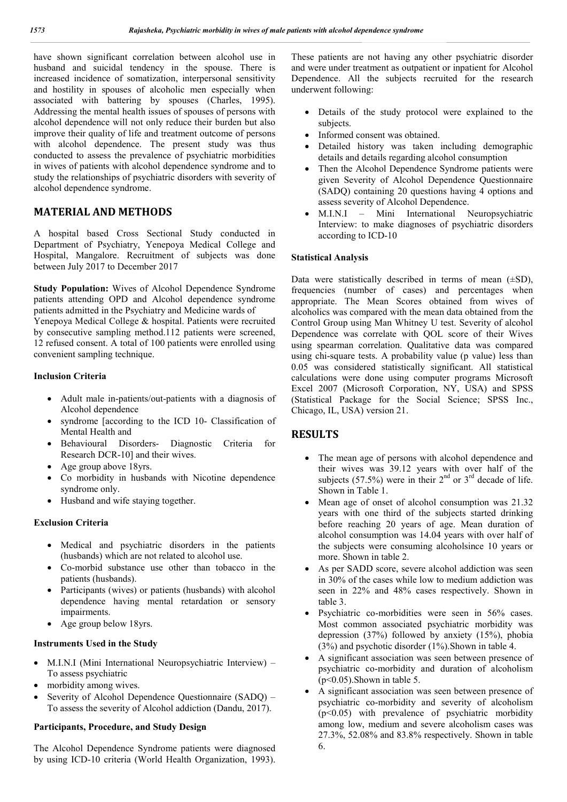have shown significant correlation between alcohol use in husband and suicidal tendency in the spouse. There is increased incidence of somatization, interpersonal sensitivity and hostility in spouses of alcoholic men especially when associated with battering by spouses (Charles, 1995). Addressing the mental health issues of spouses of persons with alcohol dependence will not only reduce their burden but also improve their quality of life and treatment outcome of persons with alcohol dependence. The present study was thus conducted to assess the prevalence of psychiatric morbidities in wives of patients with alcohol dependence syndrome and to study the relationships of psychiatric disorders with severity of alcohol dependence syndrome.

# **MATERIAL AND METHODS**

A hospital based Cross Sectional Study conducted in Department of Psychiatry, Yenepoya Medical College and Hospital, Mangalore. Recruitment of subjects was done between July 2017 to December 2017

**Study Population:** Wives of Alcohol Dependence Syndrome patients attending OPD and Alcohol dependence syndrome patients admitted in the Psychiatry and Medicine wards of Yenepoya Medical College & hospital. Patients were recruited by consecutive sampling method.112 patients were screened, 12 refused consent. A total of 100 patients were enrolled using convenient sampling technique.

### **Inclusion Criteria**

- Adult male in-patients/out-patients with a diagnosis of Alcohol dependence
- syndrome [according to the ICD 10- Classification of Mental Health and
- Behavioural Disorders- Diagnostic Criteria for Research DCR-10] and their wives.
- Age group above 18yrs.
- Co morbidity in husbands with Nicotine dependence syndrome only.
- Husband and wife staying together.

## **Exclusion Criteria**

- Medical and psychiatric disorders in the patients (husbands) which are not related to alcohol use.
- Co-morbid substance use other than tobacco in the patients (husbands).
- Participants (wives) or patients (husbands) with alcohol dependence having mental retardation or sensory impairments.
- Age group below 18yrs.

### **Instruments Used in the Study**

- M.I.N.I (Mini International Neuropsychiatric Interview) To assess psychiatric
- morbidity among wives.
- Severity of Alcohol Dependence Questionnaire (SADQ) To assess the severity of Alcohol addiction (Dandu, 2017).

## **Participants, Procedure, and Study Design**

The Alcohol Dependence Syndrome patients were diagnosed by using ICD-10 criteria (World Health Organization, 1993).

These patients are not having any other psychiatric disorder and were under treatment as outpatient or inpatient for Alcohol Dependence. All the subjects recruited for the research underwent following:

- Details of the study protocol were explained to the subjects.
- Informed consent was obtained.
- Detailed history was taken including demographic details and details regarding alcohol consumption
- Then the Alcohol Dependence Syndrome patients were given Severity of Alcohol Dependence Questionnaire (SADQ) containing 20 questions having 4 options and assess severity of Alcohol Dependence.
- M.I.N.I Mini International Neuropsychiatric Interview: to make diagnoses of psychiatric disorders according to ICD-10

## **Statistical Analysis**

Data were statistically described in terms of mean  $(\pm SD)$ , frequencies (number of cases) and percentages when appropriate. The Mean Scores obtained from wives of alcoholics was compared with the mean data obtained from the Control Group using Man Whitney U test. Severity of alcohol Dependence was correlate with QOL score of their Wives using spearman correlation. Qualitative data was compared using chi-square tests. A probability value (p value) less than 0.05 was considered statistically significant. All statistical calculations were done using computer programs Microsoft Excel 2007 (Microsoft Corporation, NY, USA) and SPSS (Statistical Package for the Social Science; SPSS Inc., Chicago, IL, USA) version 21.

## **RESULTS**

- The mean age of persons with alcohol dependence and their wives was 39.12 years with over half of the subjects (57.5%) were in their  $2<sup>nd</sup>$  or  $3<sup>rd</sup>$  decade of life. Shown in Table 1.
- Mean age of onset of alcohol consumption was 21.32 years with one third of the subjects started drinking before reaching 20 years of age. Mean duration of alcohol consumption was 14.04 years with over half of the subjects were consuming alcoholsince 10 years or more. Shown in table 2.
- As per SADD score, severe alcohol addiction was seen in 30% of the cases while low to medium addiction was seen in 22% and 48% cases respectively. Shown in table 3.
- Psychiatric co-morbidities were seen in 56% cases. Most common associated psychiatric morbidity was depression (37%) followed by anxiety (15%), phobia (3%) and psychotic disorder (1%).Shown in table 4.
- A significant association was seen between presence of psychiatric co-morbidity and duration of alcoholism  $(p<0.05)$ . Shown in table 5.
- A significant association was seen between presence of psychiatric co-morbidity and severity of alcoholism  $(p<0.05)$  with prevalence of psychiatric morbidity among low, medium and severe alcoholism cases was 27.3%, 52.08% and 83.8% respectively. Shown in table 6.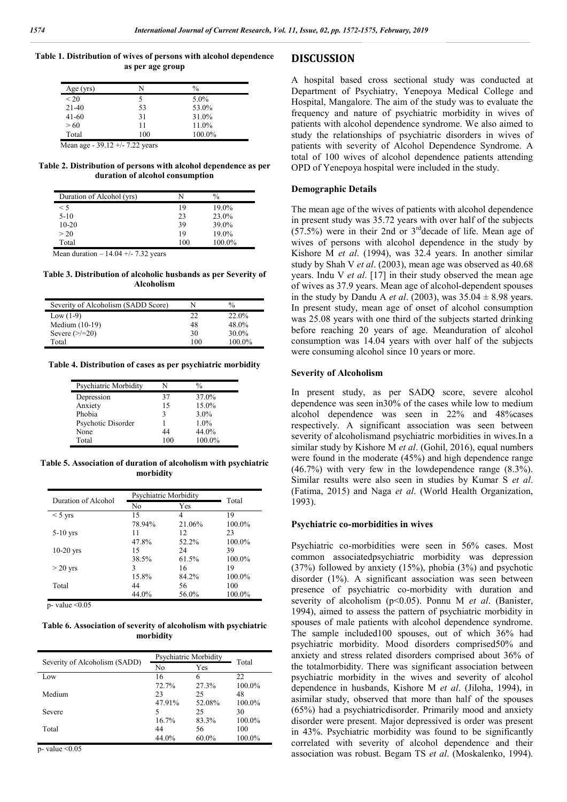**Table 1. Distribution of wives of persons with alcohol dependence as per age group**

| Age $(yrs)$                       | N   | $\frac{0}{0}$ |
|-----------------------------------|-----|---------------|
| < 20                              | 5   | 5.0%          |
| $21-40$                           | 53  | 53.0%         |
| $41 - 60$                         | 31  | 31.0%         |
| > 60                              | 11  | 11.0%         |
| Total                             | 100 | 100.0%        |
| Mean age - $39.12 +/- 7.22$ years |     |               |

**Table 2. Distribution of persons with alcohol dependence as per duration of alcohol consumption**

| Duration of Alcohol (yrs) |     | $\%$     |
|---------------------------|-----|----------|
| $\leq 5$                  | 19  | $19.0\%$ |
| $5-10$                    | 23  | $23.0\%$ |
| $10-20$                   | 39  | 39.0%    |
| > 20                      | 19  | $19.0\%$ |
| Total                     | 100 | 100.0%   |

Mean duration  $-14.04 + (-7.32)$  years

**Table 3. Distribution of alcoholic husbands as per Severity of Alcoholism**

| Severity of Alcoholism (SADD Score) |     | $\frac{0}{0}$ |
|-------------------------------------|-----|---------------|
| Low $(1-9)$                         | 22  | 22.0%         |
| Medium $(10-19)$                    | 48  | 48.0%         |
| Severe $\left(\frac{>}{=20}\right)$ | 30  | 30.0%         |
| Total                               | 100 | 100.0%        |

**Table 4. Distribution of cases as per psychiatric morbidity**

| Psychiatric Morbidity |     | ℅       |
|-----------------------|-----|---------|
| Depression            | 37  | 37.0%   |
| Anxiety               | 15  | 15.0%   |
| Phobia                | 3   | $3.0\%$ |
| Psychotic Disorder    |     | $1.0\%$ |
| None                  | 44  | 44.0%   |
| Total                 | 100 | 100.0%  |

**Table 5. Association of duration of alcoholism with psychiatric morbidity**

| Duration of Alcohol | Psychiatric Morbidity |        | Total  |  |
|---------------------|-----------------------|--------|--------|--|
|                     | No                    | Yes    |        |  |
| $<$ 5 yrs           | 15                    | 4      | 19     |  |
|                     | 78.94%                | 21.06% | 100.0% |  |
| $5-10$ yrs          | 11                    | 12     | 23     |  |
|                     | 47.8%                 | 52.2%  | 100.0% |  |
| $10-20$ yrs         | 15                    | 24     | 39     |  |
|                     | 38.5%                 | 61.5%  | 100.0% |  |
| $>$ 20 yrs          | 3                     | 16     | 19     |  |
|                     | 15.8%                 | 84.2%  | 100.0% |  |
| Total               | 44                    | 56     | 100    |  |
|                     | 44.0%                 | 56.0%  | 100.0% |  |

p- value  $\leq 0.05$ 

**Table 6. Association of severity of alcoholism with psychiatric morbidity**

| Psychiatric Morbidity         |        |          |        |  |
|-------------------------------|--------|----------|--------|--|
| Severity of Alcoholism (SADD) |        |          | Total  |  |
|                               | No     | Yes      |        |  |
| Low                           | 16     | 6        | 22     |  |
|                               | 72.7%  | 27.3%    | 100.0% |  |
| Medium                        | 23     | 25       | 48     |  |
|                               | 47.91% | 52.08%   | 100.0% |  |
| Severe                        | 5      | 25       | 30     |  |
|                               | 16.7%  | 83.3%    | 100.0% |  |
| Total                         | 44     | 56       | 100    |  |
|                               | 44.0%  | $60.0\%$ | 100.0% |  |

 $p$ - value < $0.05$ 

### **DISCUSSION**

A hospital based cross sectional study was conducted at Department of Psychiatry, Yenepoya Medical College and Hospital, Mangalore. The aim of the study was to evaluate the frequency and nature of psychiatric morbidity in wives of patients with alcohol dependence syndrome. We also aimed to study the relationships of psychiatric disorders in wives of patients with severity of Alcohol Dependence Syndrome. A total of 100 wives of alcohol dependence patients attending OPD of Yenepoya hospital were included in the study.

#### **Demographic Details**

The mean age of the wives of patients with alcohol dependence in present study was 35.72 years with over half of the subjects  $(57.5%)$  were in their 2nd or 3<sup>rd</sup> decade of life. Mean age of wives of persons with alcohol dependence in the study by Kishore M *et al*. (1994), was 32.4 years. In another similar study by Shah V *et al*. (2003), mean age was observed as 40.68 years. Indu V *et al*. [17] in their study observed the mean age of wives as 37.9 years. Mean age of alcohol-dependent spouses in the study by Dandu A *et al.* (2003), was  $35.04 \pm 8.98$  years. In present study, mean age of onset of alcohol consumption was 25.08 years with one third of the subjects started drinking before reaching 20 years of age. Meanduration of alcohol consumption was 14.04 years with over half of the subjects were consuming alcohol since 10 years or more.

#### **Severity of Alcoholism**

In present study, as per SADQ score, severe alcohol dependence was seen in30% of the cases while low to medium alcohol dependence was seen in 22% and 48%cases respectively. A significant association was seen between severity of alcoholismand psychiatric morbidities in wives.In a similar study by Kishore M *et al*. (Gohil, 2016), equal numbers were found in the moderate (45%) and high dependence range (46.7%) with very few in the lowdependence range (8.3%). Similar results were also seen in studies by Kumar S *et al*. (Fatima, 2015) and Naga *et al*. (World Health Organization, 1993).

#### **Psychiatric co-morbidities in wives**

Psychiatric co-morbidities were seen in 56% cases. Most common associatedpsychiatric morbidity was depression (37%) followed by anxiety (15%), phobia (3%) and psychotic disorder (1%). A significant association was seen between presence of psychiatric co-morbidity with duration and severity of alcoholism (p<0.05). Ponnu M *et al*. (Banister, 1994), aimed to assess the pattern of psychiatric morbidity in spouses of male patients with alcohol dependence syndrome. The sample included100 spouses, out of which 36% had psychiatric morbidity. Mood disorders comprised50% and anxiety and stress related disorders comprised about 36% of the totalmorbidity. There was significant association between psychiatric morbidity in the wives and severity of alcohol dependence in husbands, Kishore M *et al*. (Jiloha, 1994), in asimilar study, observed that more than half of the spouses (65%) had a psychiatricdisorder. Primarily mood and anxiety disorder were present. Major depressived is order was present in 43%. Psychiatric morbidity was found to be significantly correlated with severity of alcohol dependence and their association was robust. Begam TS *et al*. (Moskalenko, 1994).